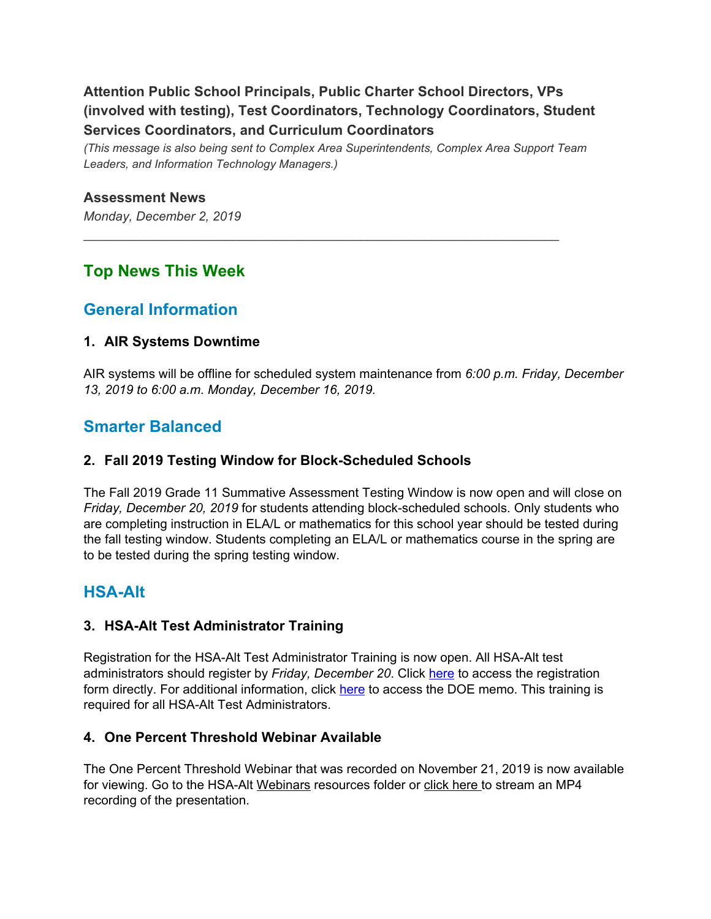## **Attention Public School Principals, Public Charter School Directors, VPs (involved with testing), Test Coordinators, Technology Coordinators, Student Services Coordinators, and Curriculum Coordinators**

*(This message is also being sent to Complex Area Superintendents, Complex Area Support Team Leaders, and Information Technology Managers.)*

 $\mathcal{L}_\text{G} = \{ \mathcal{L}_\text{G} = \{ \mathcal{L}_\text{G} = \{ \mathcal{L}_\text{G} = \{ \mathcal{L}_\text{G} = \{ \mathcal{L}_\text{G} = \{ \mathcal{L}_\text{G} = \{ \mathcal{L}_\text{G} = \{ \mathcal{L}_\text{G} = \{ \mathcal{L}_\text{G} = \{ \mathcal{L}_\text{G} = \{ \mathcal{L}_\text{G} = \{ \mathcal{L}_\text{G} = \{ \mathcal{L}_\text{G} = \{ \mathcal{L}_\text{G} = \{ \mathcal{L}_\text{G$ 

#### **Assessment News**

*Monday, December 2, 2019*

## **Top News This Week**

### **General Information**

#### **1. AIR Systems Downtime**

AIR systems will be offline for scheduled system maintenance from *6:00 p.m. Friday, December 13, 2019 to 6:00 a.m. Monday, December 16, 2019.*

## **Smarter Balanced**

#### **2. Fall 2019 Testing Window for Block-Scheduled Schools**

The Fall 2019 Grade 11 Summative Assessment Testing Window is now open and will close on *Friday, December 20, 2019* for students attending block-scheduled schools. Only students who are completing instruction in ELA/L or mathematics for this school year should be tested during the fall testing window. Students completing an ELA/L or mathematics course in the spring are to be tested during the spring testing window.

## **HSA-Alt**

#### **3. HSA-Alt Test Administrator Training**

Registration for the HSA-Alt Test Administrator Training is now open. All HSA-Alt test administrators should register by *Friday, December 20*. Click [here](https://events.r20.constantcontact.com/register/eventReg?oeidk=a07egojgvml9eb1fc55) to access the registration form directly. For additional information, click [here](https://hsa-alt.alohahsap.org/core/fileparse.php/3344/urlt/Memo_HSA-Alt-TA-Training-Jan-2020_FINAL.pdf) to access the DOE memo. This training is required for all HSA-Alt Test Administrators.

#### **4. One Percent Threshold Webinar Available**

The One Percent Threshold Webinar that was recorded on November 21, 2019 is now available for viewing. Go to the HSA-Alt [Webinars](https://hsa-alt.alohahsap.org/resources/webinars-tw/) resources folder or click [here](https://air-org.s3.amazonaws.com/hawaii/Media/hsa-alt/One+Percent+Threshold+Plan+Webinar_20191121.mp4) to stream an MP4 recording of the presentation.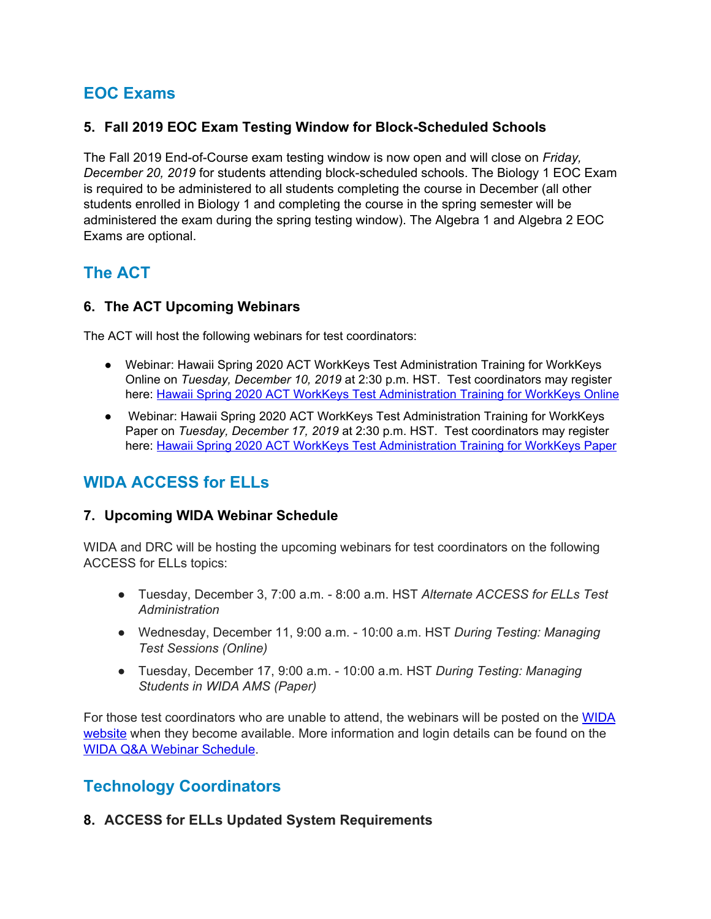# **EOC Exams**

### **5. Fall 2019 EOC Exam Testing Window for Block-Scheduled Schools**

The Fall 2019 End-of-Course exam testing window is now open and will close on *Friday, December 20, 2019* for students attending block-scheduled schools. The Biology 1 EOC Exam is required to be administered to all students completing the course in December (all other students enrolled in Biology 1 and completing the course in the spring semester will be administered the exam during the spring testing window). The Algebra 1 and Algebra 2 EOC Exams are optional.

# **The ACT**

### **6. The ACT Upcoming Webinars**

The ACT will host the following webinars for test coordinators:

- Webinar: Hawaii Spring 2020 ACT WorkKeys Test Administration Training for WorkKeys Online on *Tuesday, December 10, 2019* at 2:30 p.m. HST. Test coordinators may register here: [Hawaii Spring 2020 ACT WorkKeys Test Administration Training for WorkKeys Online](http://click.operations.act.org/?qs=50cfbadccfe68efad5484df961192caa93f8a921d8e6a8b916f6a9076a083da65e14e10b835b898086e8b288394096260efc063bbfe30531)
- Webinar: Hawaii Spring 2020 ACT WorkKeys Test Administration Training for WorkKeys Paper on *Tuesday, December 17, 2019* at 2:30 p.m. HST. Test coordinators may register here: [Hawaii Spring 2020 ACT WorkKeys Test Administration Training for WorkKeys Paper](http://click.operations.act.org/?qs=50cfbadccfe68efa3fd088f2e55e01cef7333fbe3cb0b275f88c08bb9eb5887a746875c9d8a93b1ee833bb1d2c1645ac499ec8174c20a66e)

# **WIDA ACCESS for ELLs**

#### **7. Upcoming WIDA Webinar Schedule**

WIDA and DRC will be hosting the upcoming webinars for test coordinators on the following ACCESS for ELLs topics:

- Tuesday, December 3, 7:00 a.m. 8:00 a.m. HST *Alternate ACCESS for ELLs Test Administration*
- Wednesday, December 11, 9:00 a.m. 10:00 a.m. HST *During Testing: Managing Test Sessions (Online)*
- Tuesday, December 17, 9:00 a.m. 10:00 a.m. HST *During Testing: Managing Students in WIDA AMS (Paper)*

For those test coordinators who are unable to attend, the webinars will be posted on the [WIDA](https://wida.wisc.edu/) [website](https://wida.wisc.edu/) when they become available. More information and login details can be found on the WIDA Q&A Webinar [Schedule.](https://portal.wida.us/GetResource/2345?utm_source=CR-WW111319&utm_medium=direct-email&utm_campaign=WIDAWednesday&utm_content=text-WIDA-Q%26A-Webinar-Schedule)

## **Technology Coordinators**

**8. ACCESS for ELLs Updated System Requirements**